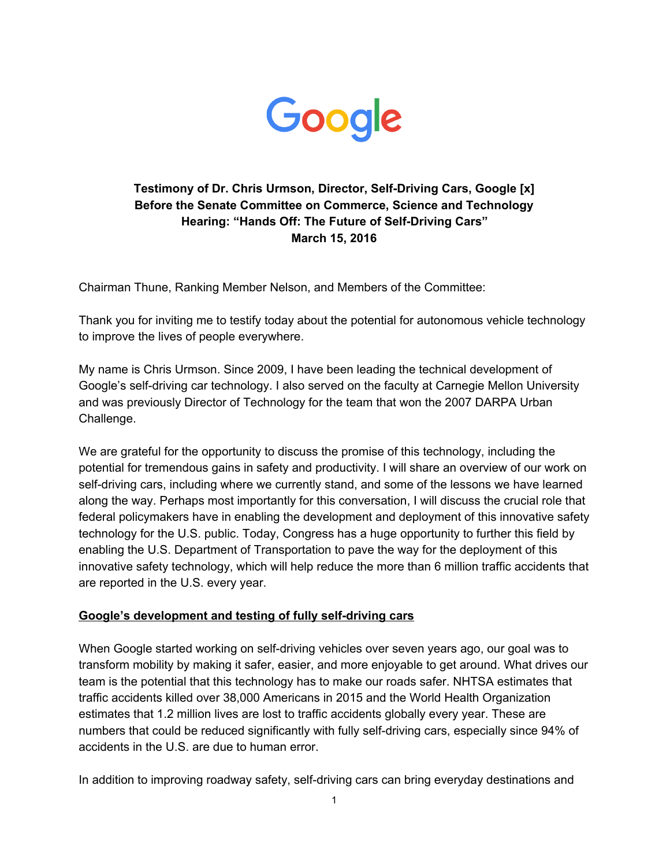

## **Testimony of Dr. Chris Urmson, Director, Self-Driving Cars, Google [x] Before the Senate Committee on Commerce, Science and Technology Hearing: "Hands Off: The Future of Self-Driving Cars" March 15, 2016**

Chairman Thune, Ranking Member Nelson, and Members of the Committee:

Thank you for inviting me to testify today about the potential for autonomous vehicle technology to improve the lives of people everywhere.

My name is Chris Urmson. Since 2009, I have been leading the technical development of Google's self-driving car technology. I also served on the faculty at Carnegie Mellon University and was previously Director of Technology for the team that won the 2007 DARPA Urban Challenge.

We are grateful for the opportunity to discuss the promise of this technology, including the potential for tremendous gains in safety and productivity. I will share an overview of our work on self-driving cars, including where we currently stand, and some of the lessons we have learned along the way. Perhaps most importantly for this conversation, I will discuss the crucial role that federal policymakers have in enabling the development and deployment of this innovative safety technology for the U.S. public. Today, Congress has a huge opportunity to further this field by enabling the U.S. Department of Transportation to pave the way for the deployment of this innovative safety technology, which will help reduce the more than 6 million traffic accidents that are reported in the U.S. every year.

## **Google's** development and testing of fully self-driving cars

When Google started working on self-driving vehicles over seven years ago, our goal was to transform mobility by making it safer, easier, and more enjoyable to get around. What drives our team is the potential that this technology has to make our roads safer. NHTSA estimates that traffic accidents killed over 38,000 Americans in 2015 and the World Health Organization estimates that 1.2 million lives are lost to traffic accidents globally every year. These are numbers that could be reduced significantly with fully self-driving cars, especially since 94% of accidents in the U.S. are due to human error.

In addition to improving roadway safety, self-driving cars can bring everyday destinations and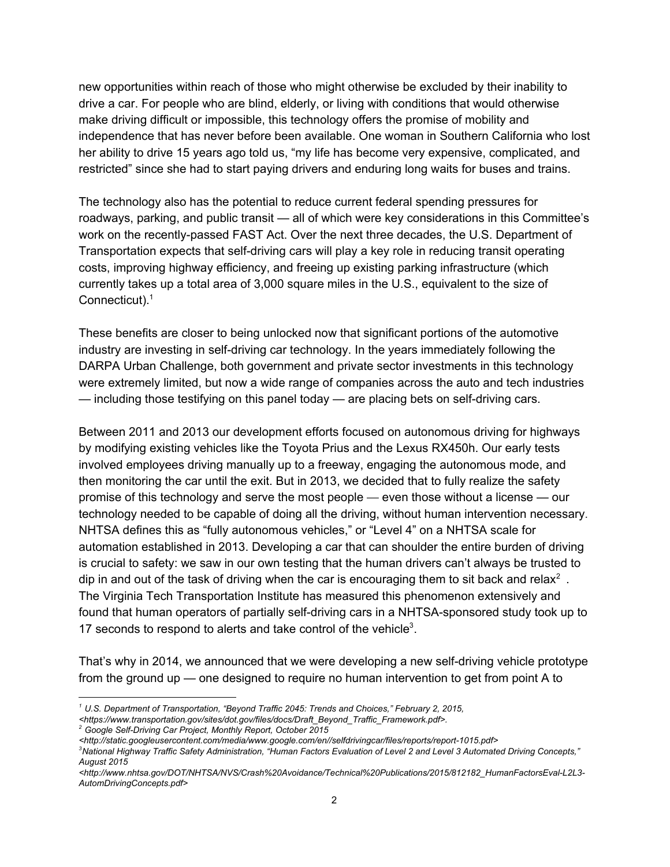new opportunities within reach of those who might otherwise be excluded by their inability to drive a car. For people who are blind, elderly, or living with conditions that would otherwise make driving difficult or impossible, this technology offers the promise of mobility and independence that has never before been available. One woman in Southern California who lost her ability to drive 15 years ago told us, "my life has become very expensive, complicated, and restricted" since she had to start paying drivers and enduring long waits for buses and trains.

The technology also has the potential to reduce current federal spending pressures for roadways, parking, and public transit — all of which were key considerations in this Committee's work on the recently-passed FAST Act. Over the next three decades, the U.S. Department of Transportation expects that self-driving cars will play a key role in reducing transit operating costs, improving highway efficiency, and freeing up existing parking infrastructure (which currently takes up a total area of 3,000 square miles in the U.S., equivalent to the size of Connecticut).<sup>1</sup>

These benefits are closer to being unlocked now that significant portions of the automotive industry are investing in self-driving car technology. In the years immediately following the DARPA Urban Challenge, both government and private sector investments in this technology were extremely limited, but now a wide range of companies across the auto and tech industries — including those testifying on this panel today — are placing bets on self-driving cars.

Between 2011 and 2013 our development efforts focused on autonomous driving for highways by modifying existing vehicles like the Toyota Prius and the Lexus RX450h. Our early tests involved employees driving manually up to a freeway, engaging the autonomous mode, and then monitoring the car until the exit. But in 2013, we decided that to fully realize the safety promise of this technology and serve the most people — even those without a license — our technology needed to be capable of doing all the driving, without human intervention necessary. NHTSA defines this as "fully autonomous vehicles," or "Level 4" on a NHTSA scale for automation established in 2013. Developing a car that can shoulder the entire burden of driving is crucial to safety: we saw in our own testing that the human drivers can't always be trusted to dip in and out of the task of driving when the car is encouraging them to sit back and relax<sup>2</sup>. The Virginia Tech Transportation Institute has measured this phenomenon extensively and found that human operators of partially self-driving cars in a NHTSA-sponsored study took up to 17 seconds to respond to alerts and take control of the vehicle $3$ .

That's why in 2014, we announced that we were developing a new self-driving vehicle prototype from the ground up — one designed to require no human intervention to get from point A to

*<sup>1</sup> U.S. Department of Transportation, "Beyond Traffic 2045: Trends and Choices," February 2, 2015,*

*<sup>&</sup>lt;https://www.transportation.gov/sites/dot.gov/files/docs/Draft\_Beyond\_Traffic\_Framework.pdf>.*

*<sup>2</sup> Google SelfDriving Car Project, Monthly Report, October 2015*

*<sup>&</sup>lt;http://static.googleusercontent.com/media/www.google.com/en//selfdrivingcar/files/reports/report1015.pdf>*

<sup>&</sup>lt;sup>3</sup>National Highway Traffic Safety Administration, "Human Factors Evaluation of Level 2 and Level 3 Automated Driving Concepts," *August 2015*

*<sup>&</sup>lt;http://www.nhtsa.gov/DOT/NHTSA/NVS/Crash%20Avoidance/Technical%20Publications/2015/812182\_HumanFactorsEvalL2L3 AutomDrivingConcepts.pdf>*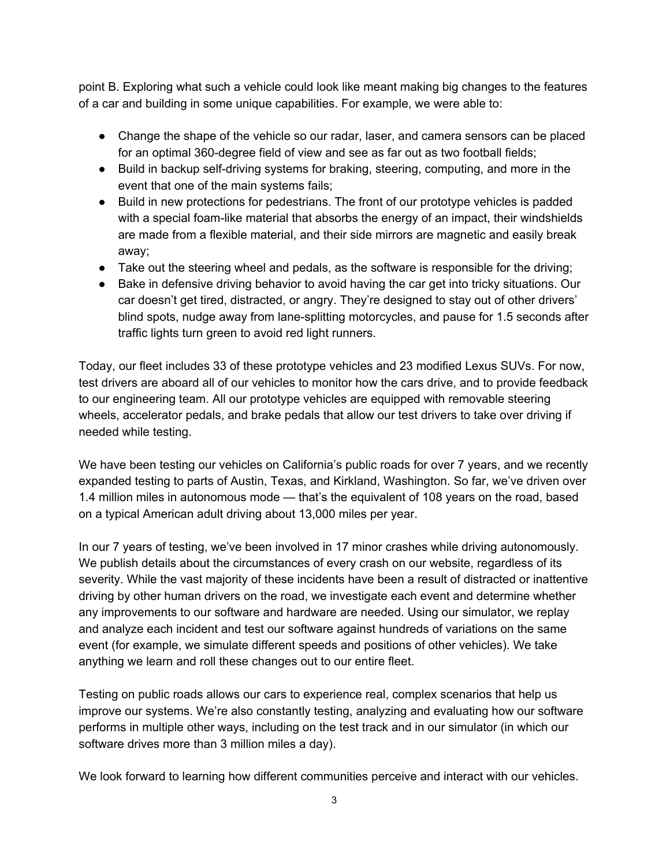point B. Exploring what such a vehicle could look like meant making big changes to the features of a car and building in some unique capabilities. For example, we were able to:

- Change the shape of the vehicle so our radar, laser, and camera sensors can be placed for an optimal 360-degree field of view and see as far out as two football fields;
- Build in backup self-driving systems for braking, steering, computing, and more in the event that one of the main systems fails;
- Build in new protections for pedestrians. The front of our prototype vehicles is padded with a special foam-like material that absorbs the energy of an impact, their windshields are made from a flexible material, and their side mirrors are magnetic and easily break away;
- Take out the steering wheel and pedals, as the software is responsible for the driving;
- Bake in defensive driving behavior to avoid having the car get into tricky situations. Our car doesn't get tired, distracted, or angry. They're designed to stay out of other drivers' blind spots, nudge away from lane-splitting motorcycles, and pause for 1.5 seconds after traffic lights turn green to avoid red light runners.

Today, our fleet includes 33 of these prototype vehicles and 23 modified Lexus SUVs. For now, test drivers are aboard all of our vehicles to monitor how the cars drive, and to provide feedback to our engineering team. All our prototype vehicles are equipped with removable steering wheels, accelerator pedals, and brake pedals that allow our test drivers to take over driving if needed while testing.

We have been testing our vehicles on California's public roads for over 7 years, and we recently expanded testing to parts of Austin, Texas, and Kirkland, Washington. So far, we've driven over 1.4 million miles in autonomous mode — that's the equivalent of 108 years on the road, based on a typical American adult driving about 13,000 miles per year.

In our 7 years of testing, we've been involved in 17 minor crashes while driving autonomously. We publish details about the circumstances of every crash on our website, regardless of its severity. While the vast majority of these incidents have been a result of distracted or inattentive driving by other human drivers on the road, we investigate each event and determine whether any improvements to our software and hardware are needed. Using our simulator, we replay and analyze each incident and test our software against hundreds of variations on the same event (for example, we simulate different speeds and positions of other vehicles). We take anything we learn and roll these changes out to our entire fleet.

Testing on public roads allows our cars to experience real, complex scenarios that help us improve our systems. We're also constantly testing, analyzing and evaluating how our software performs in multiple other ways, including on the test track and in our simulator (in which our software drives more than 3 million miles a day).

We look forward to learning how different communities perceive and interact with our vehicles.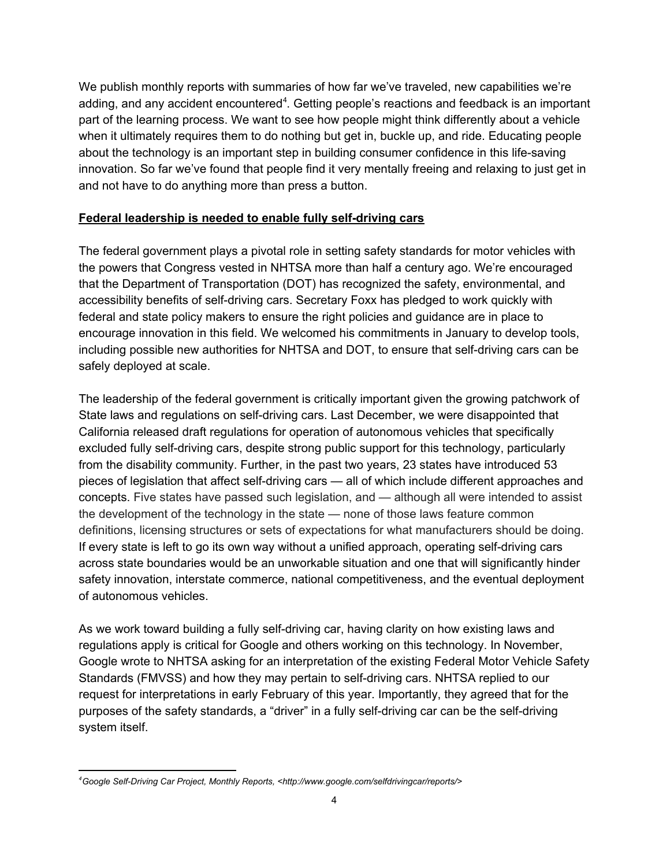We publish monthly reports with summaries of how far we've traveled, new capabilities we're adding, and any accident encountered<sup>4</sup>. Getting people's reactions and feedback is an important part of the learning process. We want to see how people might think differently about a vehicle when it ultimately requires them to do nothing but get in, buckle up, and ride. Educating people about the technology is an important step in building consumer confidence in this life-saving innovation. So far we've found that people find it very mentally freeing and relaxing to just get in and not have to do anything more than press a button.

## **Federal leadership is needed to enable fully self-driving cars**

The federal government plays a pivotal role in setting safety standards for motor vehicles with the powers that Congress vested in NHTSA more than half a century ago. We're encouraged that the Department of Transportation (DOT) has recognized the safety, environmental, and accessibility benefits of self-driving cars. Secretary Foxx has pledged to work quickly with federal and state policy makers to ensure the right policies and guidance are in place to encourage innovation in this field. We welcomed his commitments in January to develop tools, including possible new authorities for NHTSA and DOT, to ensure that self-driving cars can be safely deployed at scale.

The leadership of the federal government is critically important given the growing patchwork of State laws and regulations on self-driving cars. Last December, we were disappointed that California released draft regulations for operation of autonomous vehicles that specifically excluded fully self-driving cars, despite strong public support for this technology, particularly from the disability community. Further, in the past two years, 23 states have introduced 53 pieces of legislation that affect self-driving cars — all of which include different approaches and concepts. Five states have passed such legislation, and — although all were intended to assist the development of the technology in the state — none of those laws feature common definitions, licensing structures or sets of expectations for what manufacturers should be doing. If every state is left to go its own way without a unified approach, operating self-driving cars across state boundaries would be an unworkable situation and one that will significantly hinder safety innovation, interstate commerce, national competitiveness, and the eventual deployment of autonomous vehicles.

As we work toward building a fully self-driving car, having clarity on how existing laws and regulations apply is critical for Google and others working on this technology. In November, Google wrote to NHTSA asking for an interpretation of the existing Federal Motor Vehicle Safety Standards (FMVSS) and how they may pertain to self-driving cars. NHTSA replied to our request for interpretations in early February of this year. Importantly, they agreed that for the purposes of the safety standards, a "driver" in a fully self-driving car can be the self-driving system itself.

*<sup>4</sup>Google SelfDriving Car Project, Monthly Reports, <http://www.google.com/selfdrivingcar/reports/>*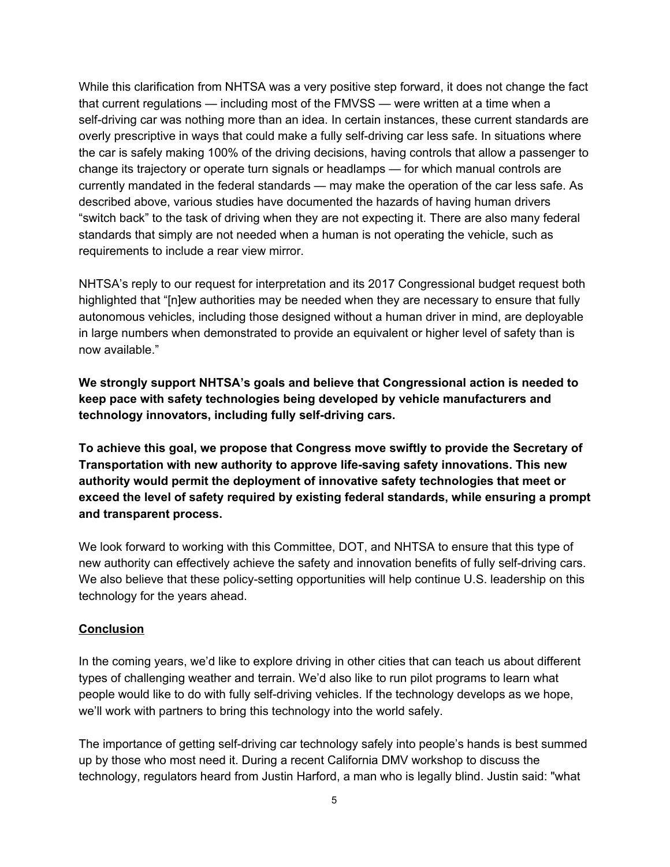While this clarification from NHTSA was a very positive step forward, it does not change the fact that current regulations — including most of the FMVSS — were written at a time when a self-driving car was nothing more than an idea. In certain instances, these current standards are overly prescriptive in ways that could make a fully self-driving car less safe. In situations where the car is safely making 100% of the driving decisions, having controls that allow a passenger to change its trajectory or operate turn signals or headlamps — for which manual controls are currently mandated in the federal standards — may make the operation of the car less safe. As described above, various studies have documented the hazards of having human drivers "switch back" to the task of driving when they are not expecting it. There are also many federal standards that simply are not needed when a human is not operating the vehicle, such as requirements to include a rear view mirror.

NHTSA's reply to our request for interpretation and its 2017 Congressional budget request both highlighted that "[n]ew authorities may be needed when they are necessary to ensure that fully autonomous vehicles, including those designed without a human driver in mind, are deployable in large numbers when demonstrated to provide an equivalent or higher level of safety than is now available."

**We strongly support NHTSA's goals and believe that Congressional action is needed to keep pace with safety technologies being developed by vehicle manufacturers and technology innovators, including fully self-driving cars.** 

**To achieve this goal, we propose that Congress move swiftly to provide the Secretary of Transportation with new authority to approve lifesaving safety innovations. This new authority would permit the deployment of innovative safety technologies that meet or exceed the level of safety required by existing federal standards, while ensuring a prompt and transparent process.**

We look forward to working with this Committee, DOT, and NHTSA to ensure that this type of new authority can effectively achieve the safety and innovation benefits of fully self-driving cars. We also believe that these policy-setting opportunities will help continue U.S. leadership on this technology for the years ahead.

## **Conclusion**

In the coming years, we'd like to explore driving in other cities that can teach us about different types of challenging weather and terrain. We'd also like to run pilot programs to learn what people would like to do with fully self-driving vehicles. If the technology develops as we hope, we'll work with partners to bring this technology into the world safely.

The importance of getting self-driving car technology safely into people's hands is best summed up by those who most need it. During a recent California DMV workshop to discuss the technology, regulators heard from Justin Harford, a man who is legally blind. Justin said: "what